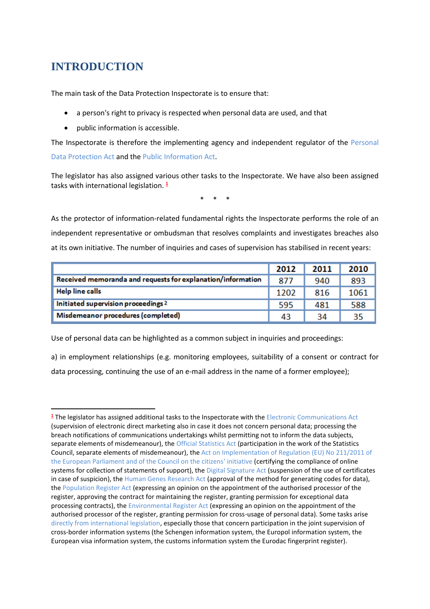## **INTRODUCTION**

**.** 

The main task of the Data Protection Inspectorate is to ensure that:

- a person's right to privacy is respected when personal data are used, and that
- public information is accessible.

The Inspectorate is therefore the implementing agency and independent regulator of the Personal Data Protection Act and the Public Information Act.

The legislator has also assigned various other tasks to the Inspectorate. We have also been assigned tasks with international legislation. **<sup>1</sup>**

\* \* \*

As the protector of information-related fundamental rights the Inspectorate performs the role of an independent representative or ombudsman that resolves complaints and investigates breaches also at its own initiative. The number of inquiries and cases of supervision has stabilised in recent years:

|                                                             | 2012 | 2011 | 2010 |
|-------------------------------------------------------------|------|------|------|
| Received memoranda and requests for explanation/information | 877  | 940  | 893  |
| <b>Help line calls</b>                                      | 1202 | 816  | 1061 |
| Initiated supervision proceedings 2                         | 595  | 481  | 588  |
| Misdemeanor procedures (completed)                          | 43   | 34   | 35   |

Use of personal data can be highlighted as a common subject in inquiries and proceedings:

a) in employment relationships (e.g. monitoring employees, suitability of a consent or contract for data processing, continuing the use of an e-mail address in the name of a former employee);

**<sup>1</sup>** The legislator has assigned additional tasks to the Inspectorate with the Electronic Communications Act (supervision of electronic direct marketing also in case it does not concern personal data; processing the breach notifications of communications undertakings whilst permitting not to inform the data subjects, separate elements of misdemeanour), the Official Statistics Act (participation in the work of the Statistics Council, separate elements of misdemeanour), the Act on Implementation of Regulation (EU) No 211/2011 of the European Parliament and of the Council on the citizens' initiative (certifying the compliance of online systems for collection of statements of support), the Digital Signature Act (suspension of the use of certificates in case of suspicion), the Human Genes Research Act (approval of the method for generating codes for data), the Population Register Act (expressing an opinion on the appointment of the authorised processor of the register, approving the contract for maintaining the register, granting permission for exceptional data processing contracts), the Environmental Register Act (expressing an opinion on the appointment of the authorised processor of the register, granting permission for cross-usage of personal data). Some tasks arise directly from international legislation, especially those that concern participation in the joint supervision of cross-border information systems (the Schengen information system, the Europol information system, the European visa information system, the customs information system the Eurodac fingerprint register).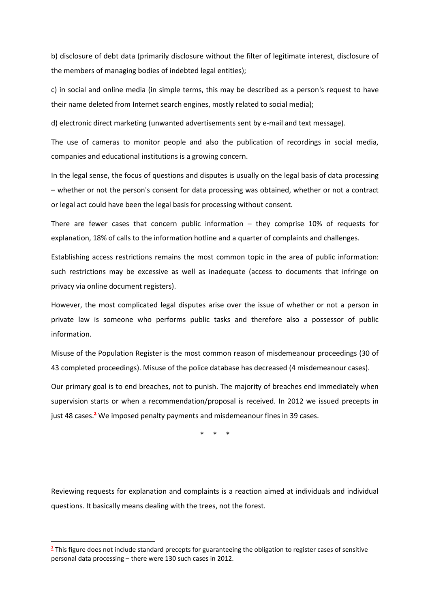b) disclosure of debt data (primarily disclosure without the filter of legitimate interest, disclosure of the members of managing bodies of indebted legal entities);

c) in social and online media (in simple terms, this may be described as a person's request to have their name deleted from Internet search engines, mostly related to social media);

d) electronic direct marketing (unwanted advertisements sent by e-mail and text message).

The use of cameras to monitor people and also the publication of recordings in social media, companies and educational institutions is a growing concern.

In the legal sense, the focus of questions and disputes is usually on the legal basis of data processing – whether or not the person's consent for data processing was obtained, whether or not a contract or legal act could have been the legal basis for processing without consent.

There are fewer cases that concern public information – they comprise 10% of requests for explanation, 18% of calls to the information hotline and a quarter of complaints and challenges.

Establishing access restrictions remains the most common topic in the area of public information: such restrictions may be excessive as well as inadequate (access to documents that infringe on privacy via online document registers).

However, the most complicated legal disputes arise over the issue of whether or not a person in private law is someone who performs public tasks and therefore also a possessor of public information.

Misuse of the Population Register is the most common reason of misdemeanour proceedings (30 of 43 completed proceedings). Misuse of the police database has decreased (4 misdemeanour cases).

Our primary goal is to end breaches, not to punish. The majority of breaches end immediately when supervision starts or when a recommendation/proposal is received. In 2012 we issued precepts in just 48 cases.**<sup>2</sup>** We imposed penalty payments and misdemeanour fines in 39 cases.

\* \* \*

Reviewing requests for explanation and complaints is a reaction aimed at individuals and individual questions. It basically means dealing with the trees, not the forest.

1

**<sup>2</sup>** This figure does not include standard precepts for guaranteeing the obligation to register cases of sensitive personal data processing – there were 130 such cases in 2012.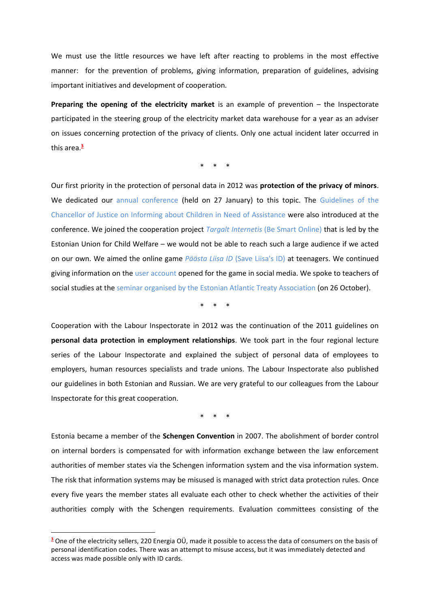We must use the little resources we have left after reacting to problems in the most effective manner: for the prevention of problems, giving information, preparation of guidelines, advising important initiatives and development of cooperation.

**Preparing the opening of the electricity market** is an example of prevention – the Inspectorate participated in the steering group of the electricity market data warehouse for a year as an adviser on issues concerning protection of the privacy of clients. Only one actual incident later occurred in this area.**<sup>3</sup>**

\* \* \*

Our first priority in the protection of personal data in 2012 was **protection of the privacy of minors**. We dedicated our annual conference (held on 27 January) to this topic. The Guidelines of the Chancellor of Justice on Informing about Children in Need of Assistance were also introduced at the conference. We joined the cooperation project *Targalt Internetis* (Be Smart Online) that is led by the Estonian Union for Child Welfare – we would not be able to reach such a large audience if we acted on our own. We aimed the online game *Päästa Liisa ID* (Save Liisa's ID) at teenagers. We continued giving information on the user account opened for the game in social media. We spoke to teachers of social studies at the seminar organised by the Estonian Atlantic Treaty Association (on 26 October).

\* \* \*

Cooperation with the Labour Inspectorate in 2012 was the continuation of the 2011 guidelines on **personal data protection in employment relationships**. We took part in the four regional lecture series of the Labour Inspectorate and explained the subject of personal data of employees to employers, human resources specialists and trade unions. The Labour Inspectorate also published our guidelines in both Estonian and Russian. We are very grateful to our colleagues from the Labour Inspectorate for this great cooperation.

\* \* \*

Estonia became a member of the **Schengen Convention** in 2007. The abolishment of border control on internal borders is compensated for with information exchange between the law enforcement authorities of member states via the Schengen information system and the visa information system. The risk that information systems may be misused is managed with strict data protection rules. Once every five years the member states all evaluate each other to check whether the activities of their authorities comply with the Schengen requirements. Evaluation committees consisting of the

 $\overline{a}$ 

**<sup>3</sup>** One of the electricity sellers, 220 Energia OÜ, made it possible to access the data of consumers on the basis of personal identification codes. There was an attempt to misuse access, but it was immediately detected and access was made possible only with ID cards.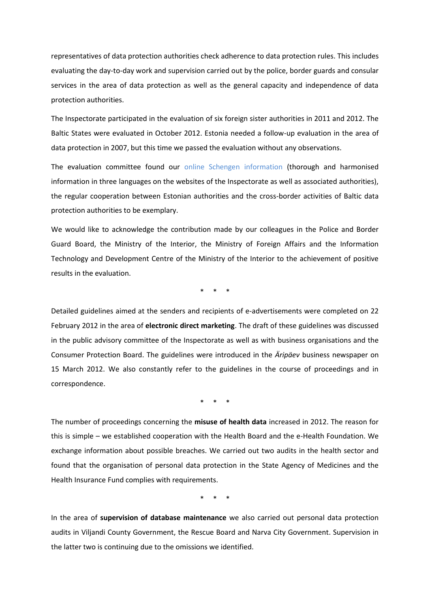representatives of data protection authorities check adherence to data protection rules. This includes evaluating the day-to-day work and supervision carried out by the police, border guards and consular services in the area of data protection as well as the general capacity and independence of data protection authorities.

The Inspectorate participated in the evaluation of six foreign sister authorities in 2011 and 2012. The Baltic States were evaluated in October 2012. Estonia needed a follow-up evaluation in the area of data protection in 2007, but this time we passed the evaluation without any observations.

The evaluation committee found our online Schengen information (thorough and harmonised information in three languages on the websites of the Inspectorate as well as associated authorities), the regular cooperation between Estonian authorities and the cross-border activities of Baltic data protection authorities to be exemplary.

We would like to acknowledge the contribution made by our colleagues in the Police and Border Guard Board, the Ministry of the Interior, the Ministry of Foreign Affairs and the Information Technology and Development Centre of the Ministry of the Interior to the achievement of positive results in the evaluation.

\* \* \*

Detailed guidelines aimed at the senders and recipients of e-advertisements were completed on 22 February 2012 in the area of **electronic direct marketing**. The draft of these guidelines was discussed in the public advisory committee of the Inspectorate as well as with business organisations and the Consumer Protection Board. The guidelines were introduced in the *Äripäev* business newspaper on 15 March 2012. We also constantly refer to the guidelines in the course of proceedings and in correspondence.

\* \* \*

The number of proceedings concerning the **misuse of health data** increased in 2012. The reason for this is simple – we established cooperation with the Health Board and the e-Health Foundation. We exchange information about possible breaches. We carried out two audits in the health sector and found that the organisation of personal data protection in the State Agency of Medicines and the Health Insurance Fund complies with requirements.

\* \* \*

In the area of **supervision of database maintenance** we also carried out personal data protection audits in Viljandi County Government, the Rescue Board and Narva City Government. Supervision in the latter two is continuing due to the omissions we identified.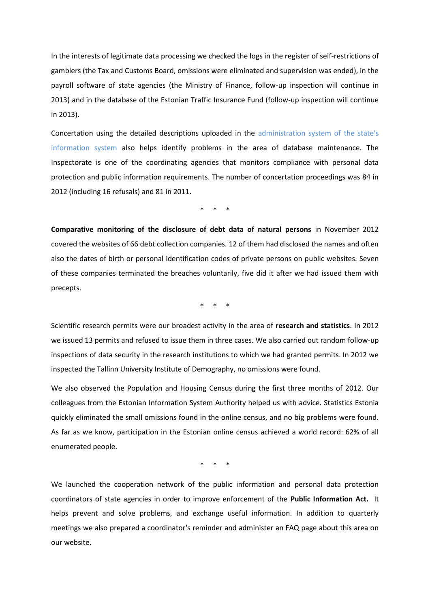In the interests of legitimate data processing we checked the logs in the register of self-restrictions of gamblers (the Tax and Customs Board, omissions were eliminated and supervision was ended), in the payroll software of state agencies (the Ministry of Finance, follow-up inspection will continue in 2013) and in the database of the Estonian Traffic Insurance Fund (follow-up inspection will continue in 2013).

Concertation using the detailed descriptions uploaded in the administration system of the state's information system also helps identify problems in the area of database maintenance. The Inspectorate is one of the coordinating agencies that monitors compliance with personal data protection and public information requirements. The number of concertation proceedings was 84 in 2012 (including 16 refusals) and 81 in 2011.

\* \* \*

**Comparative monitoring of the disclosure of debt data of natural persons** in November 2012 covered the websites of 66 debt collection companies. 12 of them had disclosed the names and often also the dates of birth or personal identification codes of private persons on public websites. Seven of these companies terminated the breaches voluntarily, five did it after we had issued them with precepts.

\* \* \*

Scientific research permits were our broadest activity in the area of **research and statistics**. In 2012 we issued 13 permits and refused to issue them in three cases. We also carried out random follow-up inspections of data security in the research institutions to which we had granted permits. In 2012 we inspected the Tallinn University Institute of Demography, no omissions were found.

We also observed the Population and Housing Census during the first three months of 2012. Our colleagues from the Estonian Information System Authority helped us with advice. Statistics Estonia quickly eliminated the small omissions found in the online census, and no big problems were found. As far as we know, participation in the Estonian online census achieved a world record: 62% of all enumerated people.

\* \* \*

We launched the cooperation network of the public information and personal data protection coordinators of state agencies in order to improve enforcement of the **Public Information Act.** It helps prevent and solve problems, and exchange useful information. In addition to quarterly meetings we also prepared a coordinator's reminder and administer an FAQ page about this area on our website.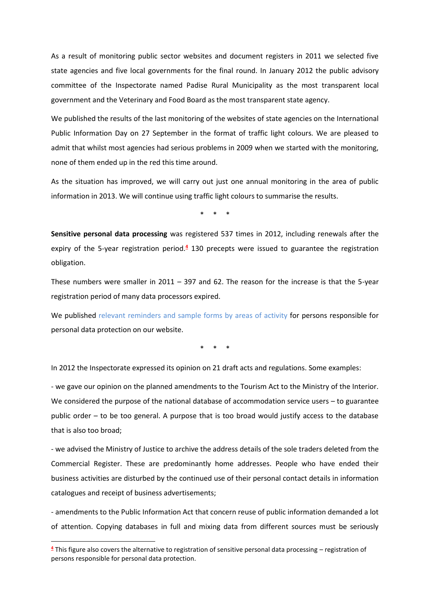As a result of monitoring public sector websites and document registers in 2011 we selected five state agencies and five local governments for the final round. In January 2012 the public advisory committee of the Inspectorate named Padise Rural Municipality as the most transparent local government and the Veterinary and Food Board as the most transparent state agency.

We published the results of the last monitoring of the websites of state agencies on the International Public Information Day on 27 September in the format of traffic light colours. We are pleased to admit that whilst most agencies had serious problems in 2009 when we started with the monitoring, none of them ended up in the red this time around.

As the situation has improved, we will carry out just one annual monitoring in the area of public information in 2013. We will continue using traffic light colours to summarise the results.

\* \* \*

**Sensitive personal data processing** was registered 537 times in 2012, including renewals after the expiry of the 5-year registration period.**<sup>4</sup>** 130 precepts were issued to guarantee the registration obligation.

These numbers were smaller in 2011 – 397 and 62. The reason for the increase is that the 5-year registration period of many data processors expired.

We published relevant reminders and sample forms by areas of activity for persons responsible for personal data protection on our website.

\* \* \*

In 2012 the Inspectorate expressed its opinion on 21 draft acts and regulations. Some examples:

- we gave our opinion on the planned amendments to the Tourism Act to the Ministry of the Interior. We considered the purpose of the national database of accommodation service users – to guarantee public order – to be too general. A purpose that is too broad would justify access to the database that is also too broad;

- we advised the Ministry of Justice to archive the address details of the sole traders deleted from the Commercial Register. These are predominantly home addresses. People who have ended their business activities are disturbed by the continued use of their personal contact details in information catalogues and receipt of business advertisements;

- amendments to the Public Information Act that concern reuse of public information demanded a lot of attention. Copying databases in full and mixing data from different sources must be seriously

1

**<sup>4</sup>** This figure also covers the alternative to registration of sensitive personal data processing – registration of persons responsible for personal data protection.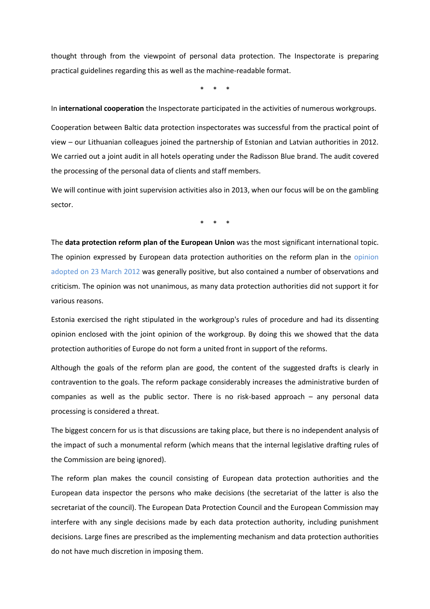thought through from the viewpoint of personal data protection. The Inspectorate is preparing practical guidelines regarding this as well as the machine-readable format.

\* \* \*

In **international cooperation** the Inspectorate participated in the activities of numerous workgroups.

Cooperation between Baltic data protection inspectorates was successful from the practical point of view – our Lithuanian colleagues joined the partnership of Estonian and Latvian authorities in 2012. We carried out a joint audit in all hotels operating under the Radisson Blue brand. The audit covered the processing of the personal data of clients and staff members.

We will continue with joint supervision activities also in 2013, when our focus will be on the gambling sector.

\* \* \*

The **data protection reform plan of the European Union** was the most significant international topic. The opinion expressed by European data protection authorities on the reform plan in the opinion adopted on 23 March 2012 was generally positive, but also contained a number of observations and criticism. The opinion was not unanimous, as many data protection authorities did not support it for various reasons.

Estonia exercised the right stipulated in the workgroup's rules of procedure and had its dissenting opinion enclosed with the joint opinion of the workgroup. By doing this we showed that the data protection authorities of Europe do not form a united front in support of the reforms.

Although the goals of the reform plan are good, the content of the suggested drafts is clearly in contravention to the goals. The reform package considerably increases the administrative burden of companies as well as the public sector. There is no risk-based approach – any personal data processing is considered a threat.

The biggest concern for us is that discussions are taking place, but there is no independent analysis of the impact of such a monumental reform (which means that the internal legislative drafting rules of the Commission are being ignored).

The reform plan makes the council consisting of European data protection authorities and the European data inspector the persons who make decisions (the secretariat of the latter is also the secretariat of the council). The European Data Protection Council and the European Commission may interfere with any single decisions made by each data protection authority, including punishment decisions. Large fines are prescribed as the implementing mechanism and data protection authorities do not have much discretion in imposing them.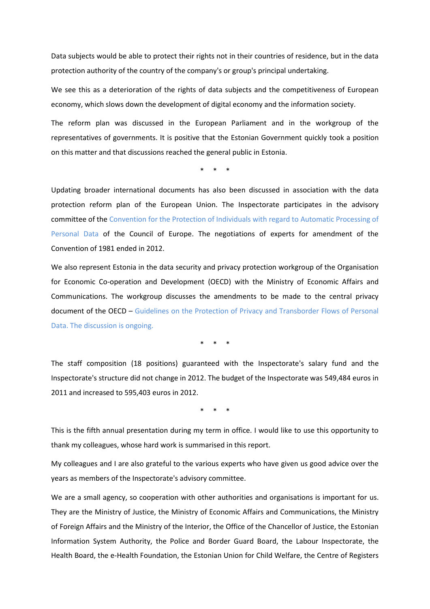Data subjects would be able to protect their rights not in their countries of residence, but in the data protection authority of the country of the company's or group's principal undertaking.

We see this as a deterioration of the rights of data subjects and the competitiveness of European economy, which slows down the development of digital economy and the information society.

The reform plan was discussed in the European Parliament and in the workgroup of the representatives of governments. It is positive that the Estonian Government quickly took a position on this matter and that discussions reached the general public in Estonia.

\* \* \*

Updating broader international documents has also been discussed in association with the data protection reform plan of the European Union. The Inspectorate participates in the advisory committee of the Convention for the Protection of Individuals with regard to Automatic Processing of Personal Data of the Council of Europe. The negotiations of experts for amendment of the Convention of 1981 ended in 2012.

We also represent Estonia in the data security and privacy protection workgroup of the Organisation for Economic Co-operation and Development (OECD) with the Ministry of Economic Affairs and Communications. The workgroup discusses the amendments to be made to the central privacy document of the OECD – Guidelines on the Protection of Privacy and Transborder Flows of Personal Data. The discussion is ongoing.

\* \* \*

The staff composition (18 positions) guaranteed with the Inspectorate's salary fund and the Inspectorate's structure did not change in 2012. The budget of the Inspectorate was 549,484 euros in 2011 and increased to 595,403 euros in 2012.

 $\star$ 

This is the fifth annual presentation during my term in office. I would like to use this opportunity to thank my colleagues, whose hard work is summarised in this report.

My colleagues and I are also grateful to the various experts who have given us good advice over the years as members of the Inspectorate's advisory committee.

We are a small agency, so cooperation with other authorities and organisations is important for us. They are the Ministry of Justice, the Ministry of Economic Affairs and Communications, the Ministry of Foreign Affairs and the Ministry of the Interior, the Office of the Chancellor of Justice, the Estonian Information System Authority, the Police and Border Guard Board, the Labour Inspectorate, the Health Board, the e-Health Foundation, the Estonian Union for Child Welfare, the Centre of Registers